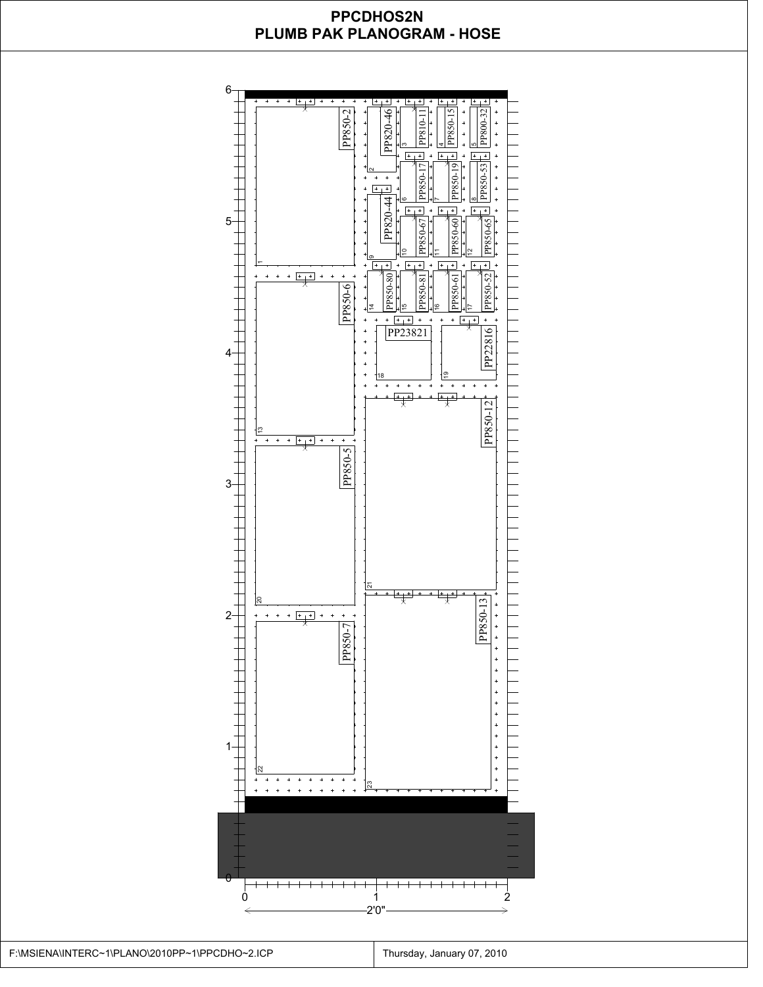